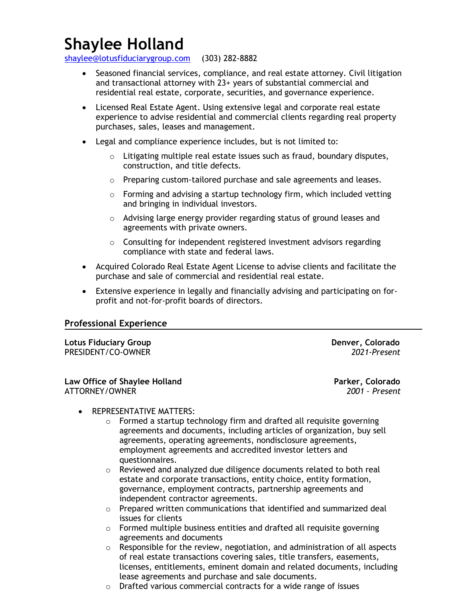# **Shaylee Holland**

[shaylee@lotusfiduciarygroup.com](mailto:shaylee@lotusfiduciarygroup.com) (303) 282-8882

- Seasoned financial services, compliance, and real estate attorney. Civil litigation and transactional attorney with 23+ years of substantial commercial and residential real estate, corporate, securities, and governance experience.
- Licensed Real Estate Agent. Using extensive legal and corporate real estate experience to advise residential and commercial clients regarding real property purchases, sales, leases and management.
- Legal and compliance experience includes, but is not limited to:
	- $\circ$  Litigating multiple real estate issues such as fraud, boundary disputes, construction, and title defects.
	- o Preparing custom-tailored purchase and sale agreements and leases.
	- $\circ$  Forming and advising a startup technology firm, which included vetting and bringing in individual investors.
	- o Advising large energy provider regarding status of ground leases and agreements with private owners.
	- o Consulting for independent registered investment advisors regarding compliance with state and federal laws.
- Acquired Colorado Real Estate Agent License to advise clients and facilitate the purchase and sale of commercial and residential real estate.
- Extensive experience in legally and financially advising and participating on forprofit and not-for-profit boards of directors.

# **Professional Experience**

**Lotus Fiduciary Group Denver, Colorado** PRESIDENT/CO-OWNER *2021-Present*

Law Office of Shaylee Holland<br>ATTORNEY/OWNER 2001 - Present ATTORNEY/OWNER *2001 – Present*

- REPRESENTATIVE MATTERS:
	- o Formed a startup technology firm and drafted all requisite governing agreements and documents, including articles of organization, buy sell agreements, operating agreements, nondisclosure agreements, employment agreements and accredited investor letters and questionnaires.
	- o Reviewed and analyzed due diligence documents related to both real estate and corporate transactions, entity choice, entity formation, governance, employment contracts, partnership agreements and independent contractor agreements.
	- $\circ$  Prepared written communications that identified and summarized deal issues for clients
	- o Formed multiple business entities and drafted all requisite governing agreements and documents
	- o Responsible for the review, negotiation, and administration of all aspects of real estate transactions covering sales, title transfers, easements, licenses, entitlements, eminent domain and related documents, including lease agreements and purchase and sale documents.
	- o Drafted various commercial contracts for a wide range of issues